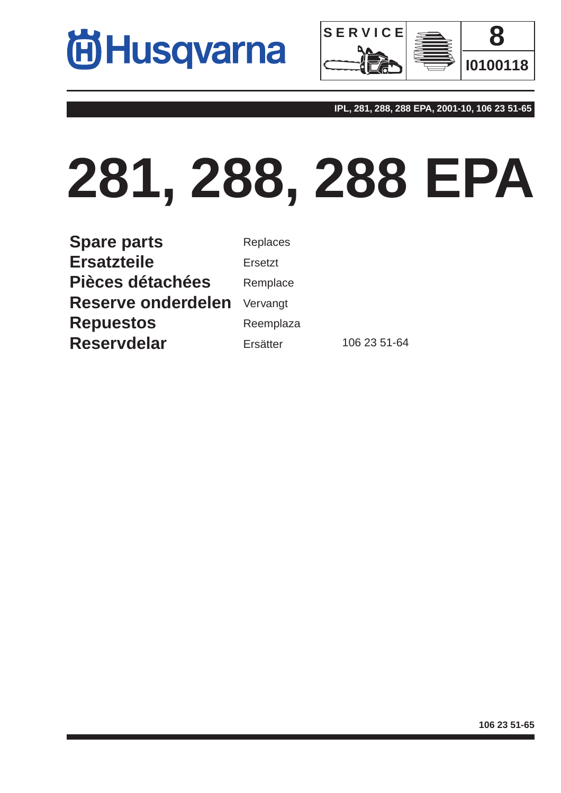



**IPL, 281, 288, 288 EPA, 2001-10, 106 23 51-65**

## **281, 288, 288 EPA**

**Spare parts Ersatzteile Pièces détachées Reserve onderdelen Repuestos Reservdelar**

Replaces Ersetzt Remplace Vervangt Reemplaza Ersätter 106 23 51-64

**106 23 51-65**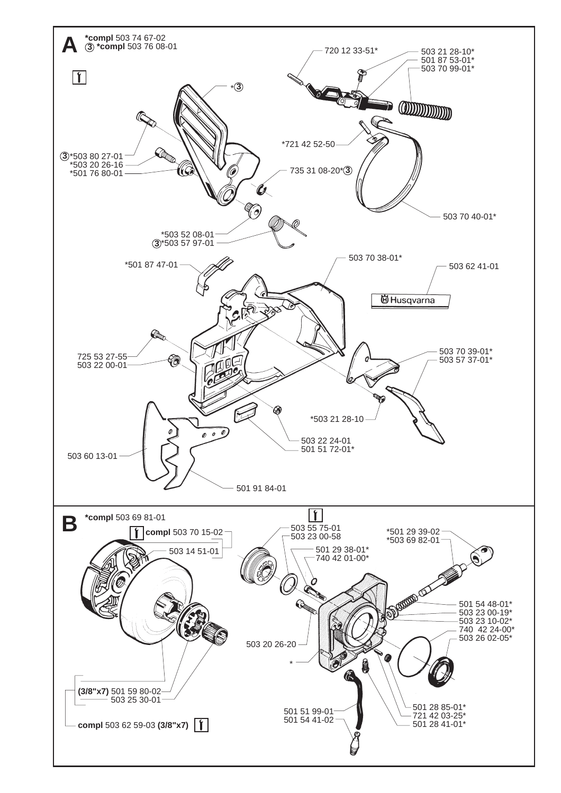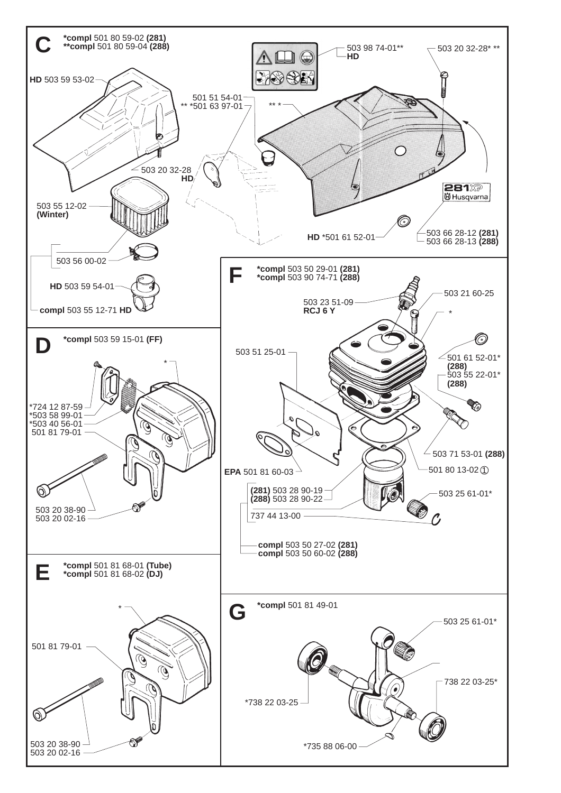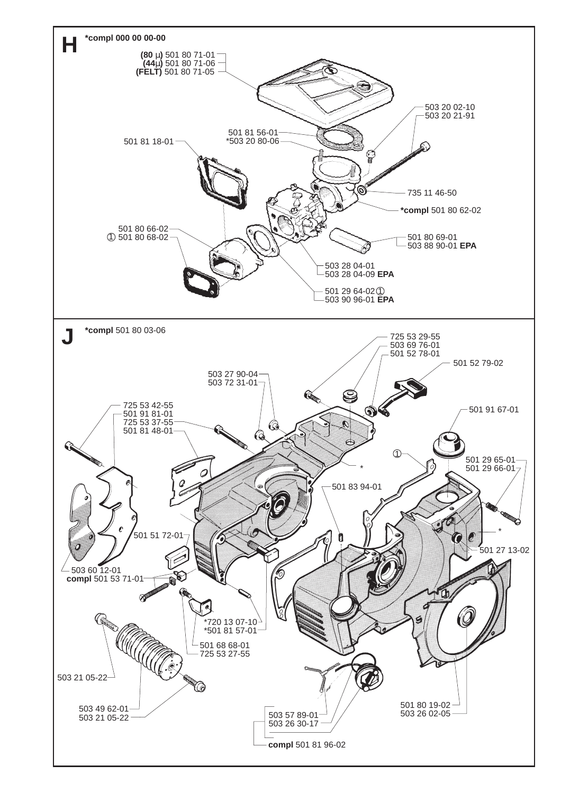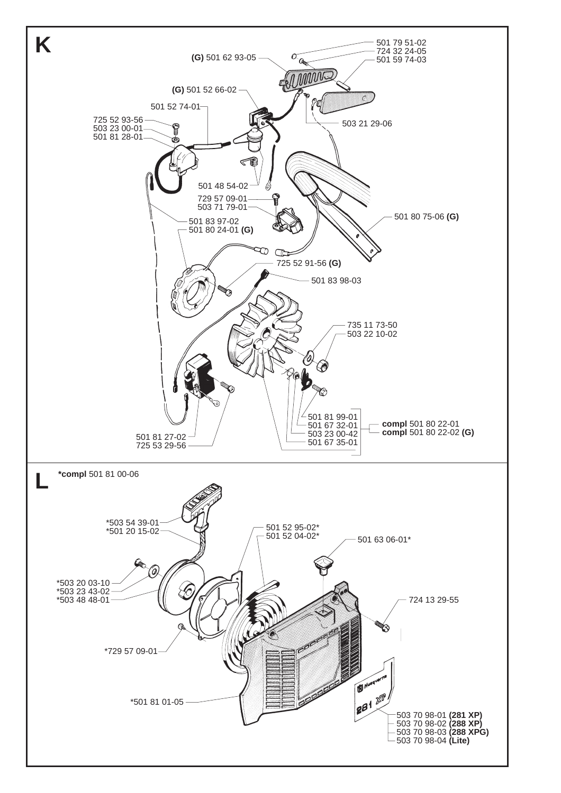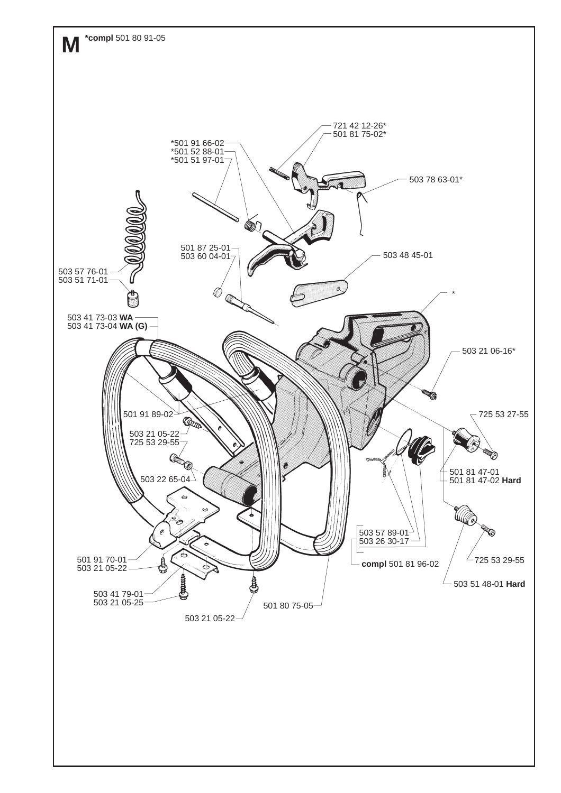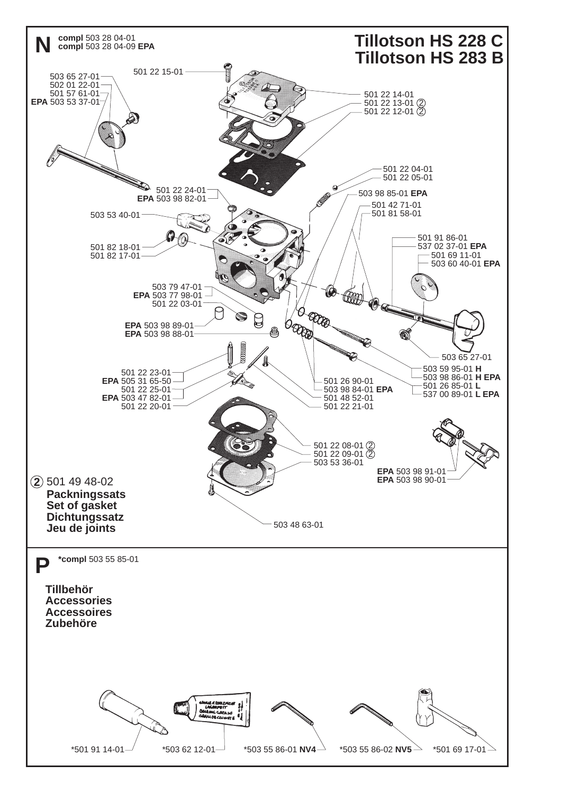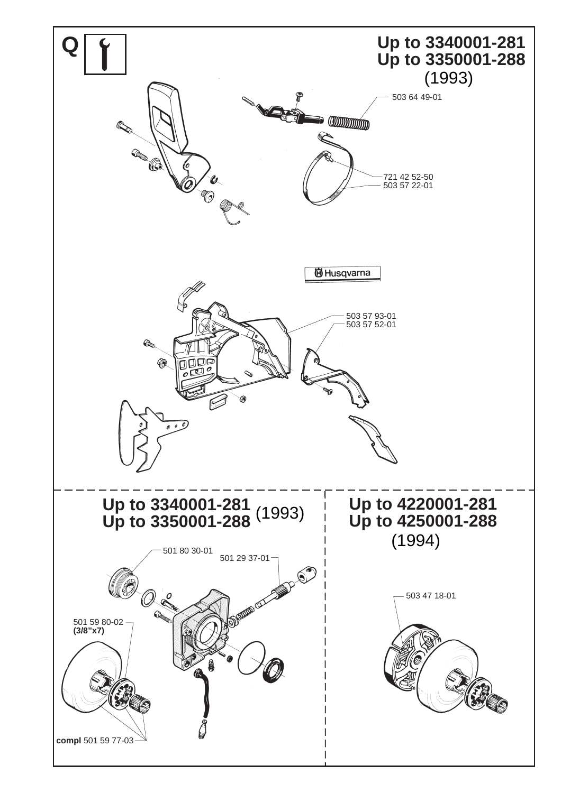